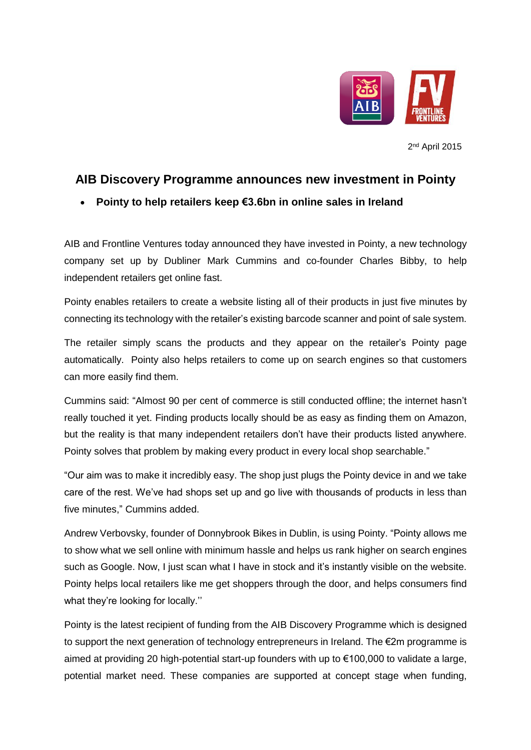

2<sup>nd</sup> April 2015

# **AIB Discovery Programme announces new investment in Pointy**

## **Pointy to help retailers keep €3.6bn in online sales in Ireland**

AIB and Frontline Ventures today announced they have invested in Pointy, a new technology company set up by Dubliner Mark Cummins and co-founder Charles Bibby, to help independent retailers get online fast.

Pointy enables retailers to create a website listing all of their products in just five minutes by connecting its technology with the retailer's existing barcode scanner and point of sale system.

The retailer simply scans the products and they appear on the retailer's Pointy page automatically. Pointy also helps retailers to come up on search engines so that customers can more easily find them.

Cummins said: "Almost 90 per cent of commerce is still conducted offline; the internet hasn't really touched it yet. Finding products locally should be as easy as finding them on Amazon, but the reality is that many independent retailers don't have their products listed anywhere. Pointy solves that problem by making every product in every local shop searchable."

"Our aim was to make it incredibly easy. The shop just plugs the Pointy device in and we take care of the rest. We've had shops set up and go live with thousands of products in less than five minutes," Cummins added.

Andrew Verbovsky, founder of Donnybrook Bikes in Dublin, is using Pointy. "Pointy allows me to show what we sell online with minimum hassle and helps us rank higher on search engines such as Google. Now, I just scan what I have in stock and it's instantly visible on the website. Pointy helps local retailers like me get shoppers through the door, and helps consumers find what they're looking for locally.''

Pointy is the latest recipient of funding from the AIB Discovery Programme which is designed to support the next generation of technology entrepreneurs in Ireland. The €2m programme is aimed at providing 20 high-potential start-up founders with up to  $\epsilon$ 100,000 to validate a large, potential market need. These companies are supported at concept stage when funding,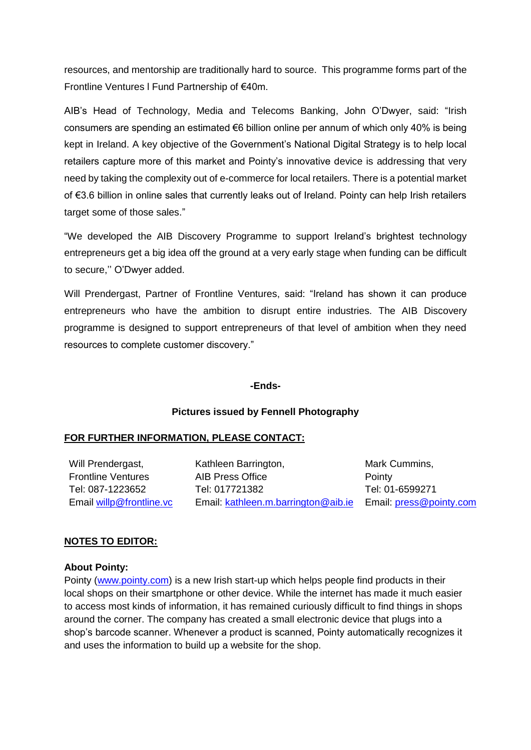resources, and mentorship are traditionally hard to source. This programme forms part of the Frontline Ventures l Fund Partnership of €40m.

AIB's Head of Technology, Media and Telecoms Banking, John O'Dwyer, said: "Irish consumers are spending an estimated €6 billion online per annum of which only 40% is being kept in Ireland. A key objective of the Government's National Digital Strategy is to help local retailers capture more of this market and Pointy's innovative device is addressing that very need by taking the complexity out of e-commerce for local retailers. There is a potential market of €3.6 billion in online sales that currently leaks out of Ireland. Pointy can help Irish retailers target some of those sales."

"We developed the AIB Discovery Programme to support Ireland's brightest technology entrepreneurs get a big idea off the ground at a very early stage when funding can be difficult to secure,'' O'Dwyer added.

Will Prendergast, Partner of Frontline Ventures, said: "Ireland has shown it can produce entrepreneurs who have the ambition to disrupt entire industries. The AIB Discovery programme is designed to support entrepreneurs of that level of ambition when they need resources to complete customer discovery."

### **-Ends-**

### **Pictures issued by Fennell Photography**

### **FOR FURTHER INFORMATION, PLEASE CONTACT:**

Will Prendergast. Frontline Ventures Tel: 087-1223652 Email [willp@frontline.vc](mailto:willp@frontline.vc)

Kathleen Barrington, AIB Press Office Tel: 017721382 Email: [kathleen.m.barrington@aib.ie](mailto:kathleen.m.barrington@aib.ie)

Mark Cummins, **Pointy** Tel: 01-6599271 Email: [press@pointy.com](mailto:press@pointy.com)

#### **NOTES TO EDITOR:**

#### **About Pointy:**

Pointy [\(www.pointy.com\)](http://www.pointy.com/) is a new Irish start-up which helps people find products in their local shops on their smartphone or other device. While the internet has made it much easier to access most kinds of information, it has remained curiously difficult to find things in shops around the corner. The company has created a small electronic device that plugs into a shop's barcode scanner. Whenever a product is scanned, Pointy automatically recognizes it and uses the information to build up a website for the shop.